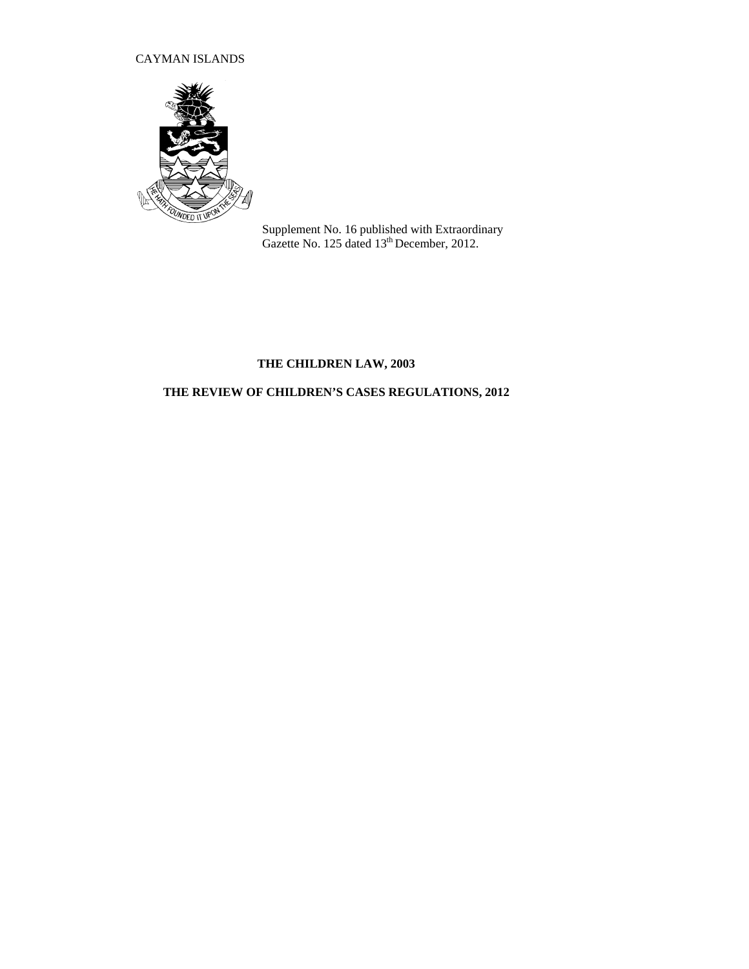# CAYMAN ISLANDS



Supplement No. 16 published with Extraordinary Gazette No. 125 dated 13<sup>th</sup> December, 2012.

# **THE CHILDREN LAW, 2003**

# **THE REVIEW OF CHILDREN'S CASES REGULATIONS, 2012**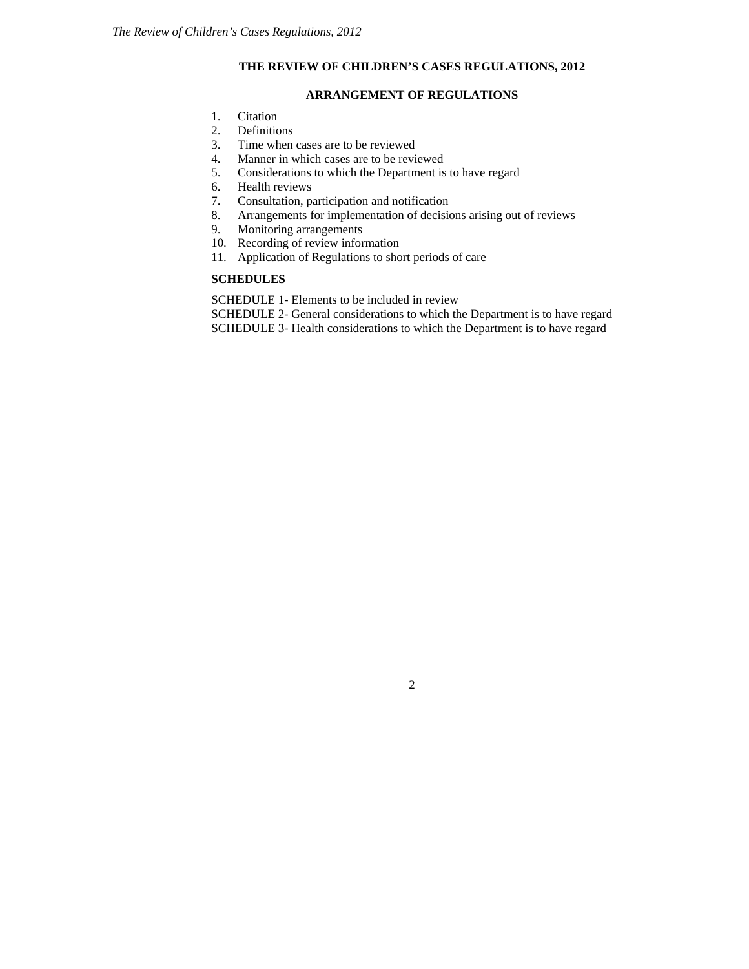### **THE REVIEW OF CHILDREN'S CASES REGULATIONS, 2012**

## **ARRANGEMENT OF REGULATIONS**

- 1. Citation
- 2. Definitions
- 3. Time when cases are to be reviewed
- 4. Manner in which cases are to be reviewed
- 5. Considerations to which the Department is to have regard 6. Health reviews
- Health reviews
- 7. Consultation, participation and notification
- 8. Arrangements for implementation of decisions arising out of reviews
- 9. Monitoring arrangements
- 10. Recording of review information
- 11. Application of Regulations to short periods of care

## **SCHEDULES**

SCHEDULE 1- Elements to be included in review

SCHEDULE 2- General considerations to which the Department is to have regard SCHEDULE 3- Health considerations to which the Department is to have regard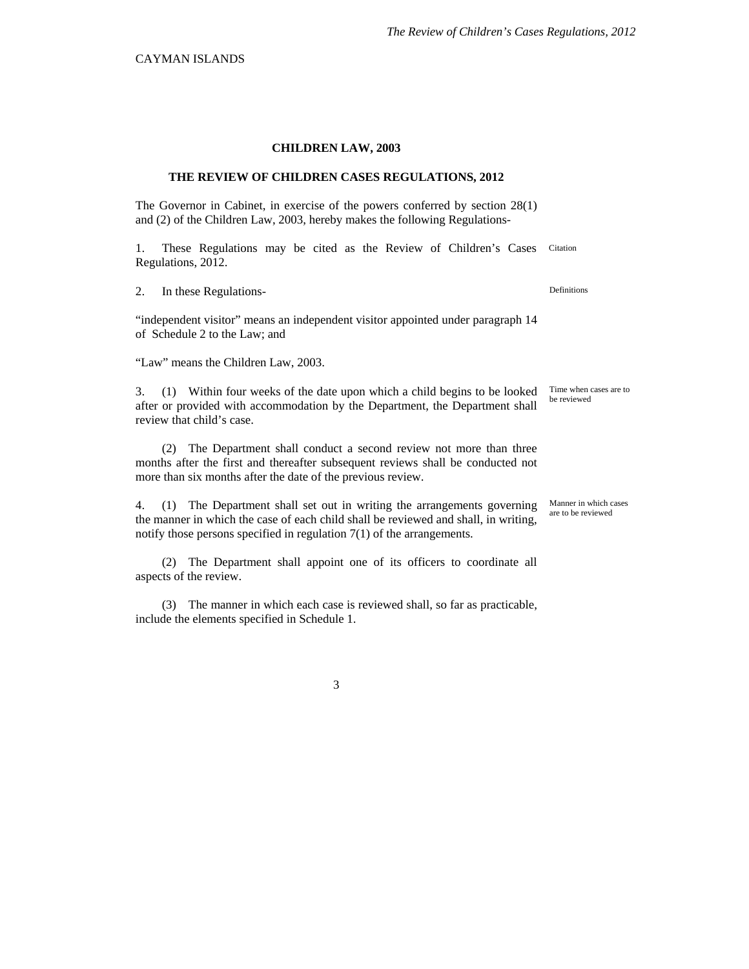#### **CHILDREN LAW, 2003**

#### **THE REVIEW OF CHILDREN CASES REGULATIONS, 2012**

The Governor in Cabinet, in exercise of the powers conferred by section 28(1) and (2) of the Children Law, 2003, hereby makes the following Regulations-

1. These Regulations may be cited as the Review of Children's Cases Regulations, 2012. Citation

2. In these Regulations-<br>
Definitions

"independent visitor" means an independent visitor appointed under paragraph 14 of Schedule 2 to the Law; and

"Law" means the Children Law, 2003.

3. (1) Within four weeks of the date upon which a child begins to be looked after or provided with accommodation by the Department, the Department shall review that child's case.

(2) The Department shall conduct a second review not more than three months after the first and thereafter subsequent reviews shall be conducted not more than six months after the date of the previous review.

4. (1) The Department shall set out in writing the arrangements governing the manner in which the case of each child shall be reviewed and shall, in writing, notify those persons specified in regulation 7(1) of the arrangements.

(2) The Department shall appoint one of its officers to coordinate all aspects of the review.

(3) The manner in which each case is reviewed shall, so far as practicable, include the elements specified in Schedule 1.

3

Time when cases are to be reviewed

Manner in which cases are to be reviewed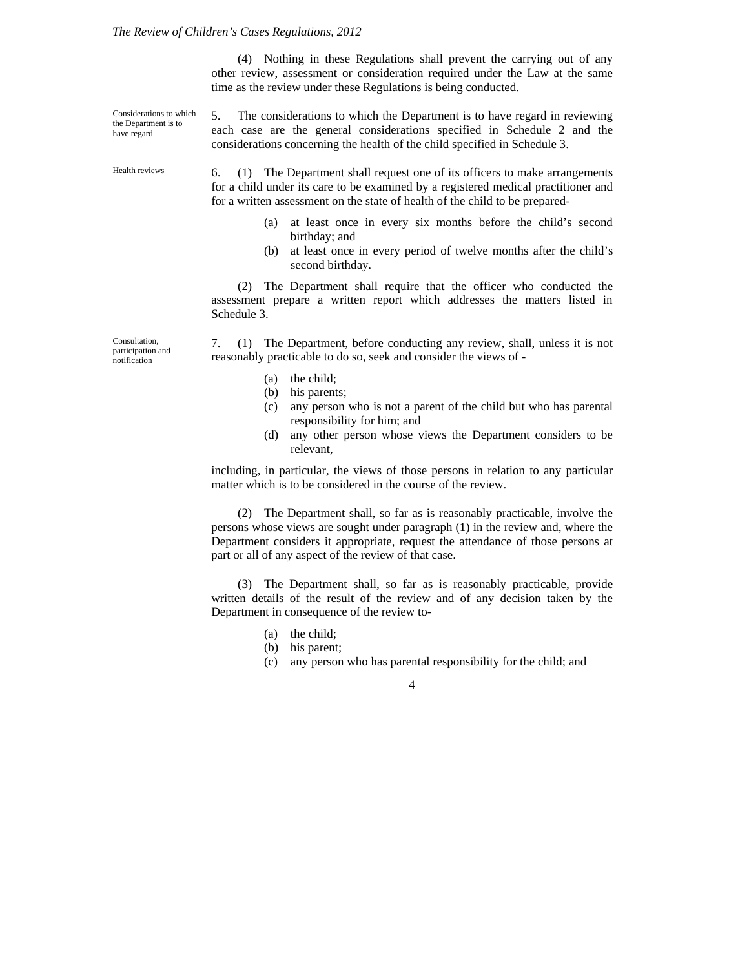#### *The Review of Children's Cases Regulations, 2012*

(4) Nothing in these Regulations shall prevent the carrying out of any other review, assessment or consideration required under the Law at the same time as the review under these Regulations is being conducted.

Considerations to which the Department is to have regard

Health reviews

5. The considerations to which the Department is to have regard in reviewing each case are the general considerations specified in Schedule 2 and the considerations concerning the health of the child specified in Schedule 3.

6. (1) The Department shall request one of its officers to make arrangements for a child under its care to be examined by a registered medical practitioner and for a written assessment on the state of health of the child to be prepared-

- (a) at least once in every six months before the child's second birthday; and
- (b) at least once in every period of twelve months after the child's second birthday.

(2) The Department shall require that the officer who conducted the assessment prepare a written report which addresses the matters listed in Schedule 3.

Consultation, participation and notification

7. (1) The Department, before conducting any review, shall, unless it is not reasonably practicable to do so, seek and consider the views of -

- (a) the child;
- (b) his parents;
- (c) any person who is not a parent of the child but who has parental responsibility for him; and
- (d) any other person whose views the Department considers to be relevant,

including, in particular, the views of those persons in relation to any particular matter which is to be considered in the course of the review.

(2) The Department shall, so far as is reasonably practicable, involve the persons whose views are sought under paragraph (1) in the review and, where the Department considers it appropriate, request the attendance of those persons at part or all of any aspect of the review of that case.

(3) The Department shall, so far as is reasonably practicable, provide written details of the result of the review and of any decision taken by the Department in consequence of the review to-

- (a) the child;
- (b) his parent;
- (c) any person who has parental responsibility for the child; and

4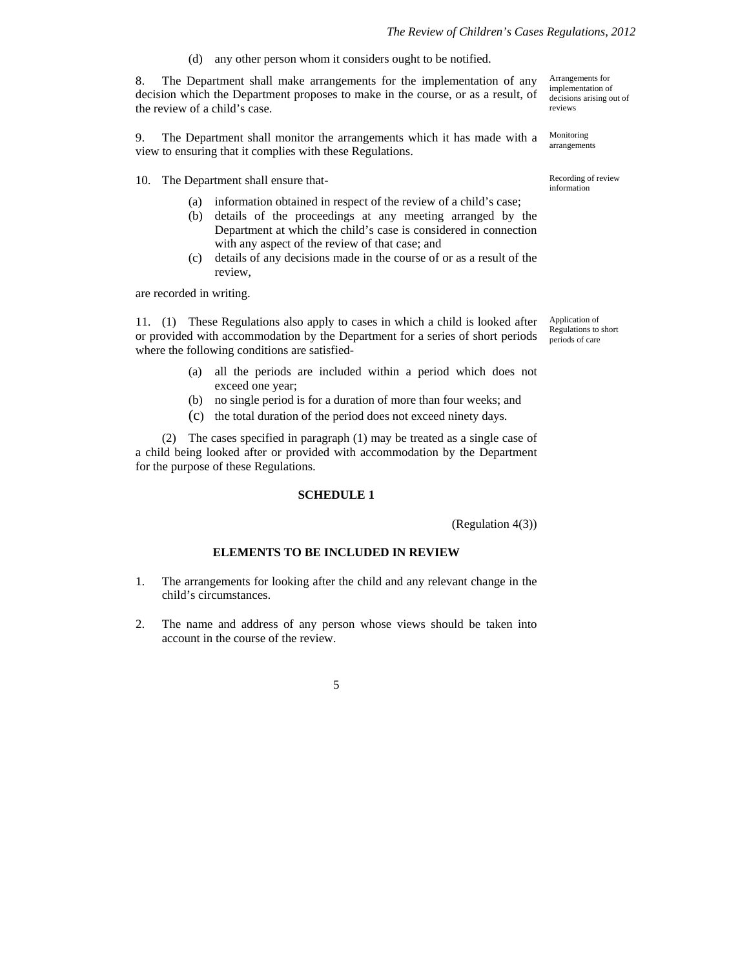(d) any other person whom it considers ought to be notified.

8. The Department shall make arrangements for the implementation of any decision which the Department proposes to make in the course, or as a result, of the review of a child's case.

9. The Department shall monitor the arrangements which it has made with a view to ensuring that it complies with these Regulations.

10. The Department shall ensure that- The Contract Recording of review

- (a) information obtained in respect of the review of a child's case;
- (b) details of the proceedings at any meeting arranged by the Department at which the child's case is considered in connection with any aspect of the review of that case; and
- (c) details of any decisions made in the course of or as a result of the review,

are recorded in writing.

11. (1) These Regulations also apply to cases in which a child is looked after or provided with accommodation by the Department for a series of short periods where the following conditions are satisfied-

- (a) all the periods are included within a period which does not exceed one year;
- (b) no single period is for a duration of more than four weeks; and
- (c) the total duration of the period does not exceed ninety days.

(2) The cases specified in paragraph (1) may be treated as a single case of a child being looked after or provided with accommodation by the Department for the purpose of these Regulations.

### **SCHEDULE 1**

(Regulation 4(3))

### **ELEMENTS TO BE INCLUDED IN REVIEW**

- 1. The arrangements for looking after the child and any relevant change in the child's circumstances.
- 2. The name and address of any person whose views should be taken into account in the course of the review.

5

Arrangements for implementation of decisions arising out of reviews

Monitoring arrangements

information

Application of Regulations to short periods of care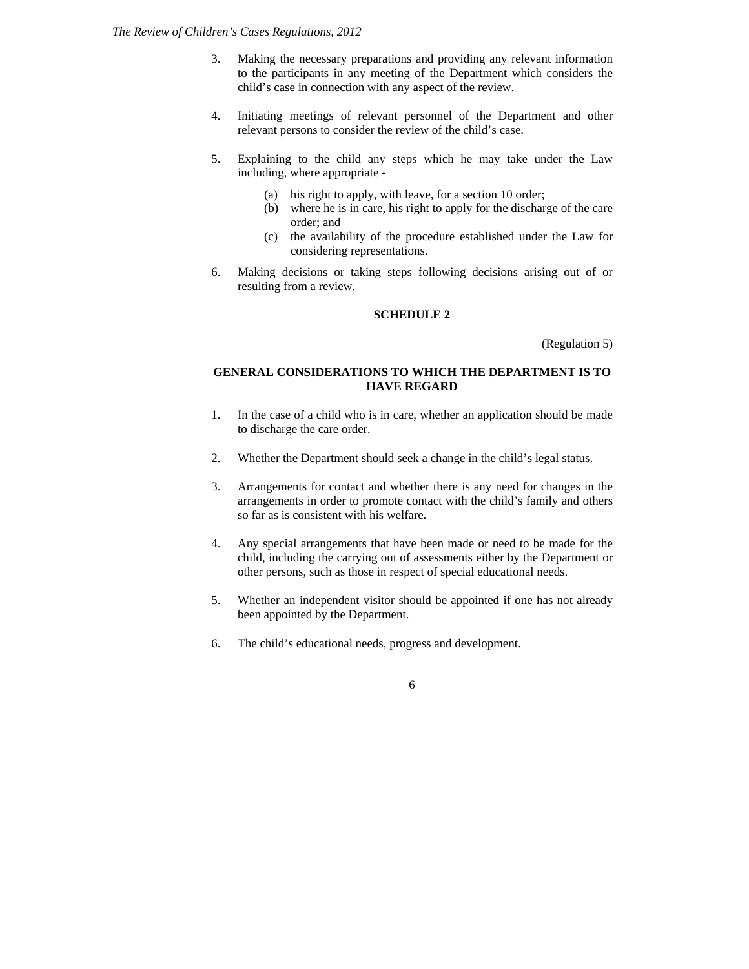- 3. Making the necessary preparations and providing any relevant information to the participants in any meeting of the Department which considers the child's case in connection with any aspect of the review.
- 4. Initiating meetings of relevant personnel of the Department and other relevant persons to consider the review of the child's case.
- 5. Explaining to the child any steps which he may take under the Law including, where appropriate -
	- (a) his right to apply, with leave, for a section 10 order;
	- (b) where he is in care, his right to apply for the discharge of the care order; and
	- (c) the availability of the procedure established under the Law for considering representations.
- 6. Making decisions or taking steps following decisions arising out of or resulting from a review.

## **SCHEDULE 2**

(Regulation 5)

# **GENERAL CONSIDERATIONS TO WHICH THE DEPARTMENT IS TO HAVE REGARD**

- 1. In the case of a child who is in care, whether an application should be made to discharge the care order.
- 2. Whether the Department should seek a change in the child's legal status.
- 3. Arrangements for contact and whether there is any need for changes in the arrangements in order to promote contact with the child's family and others so far as is consistent with his welfare.
- 4. Any special arrangements that have been made or need to be made for the child, including the carrying out of assessments either by the Department or other persons, such as those in respect of special educational needs.
- 5. Whether an independent visitor should be appointed if one has not already been appointed by the Department.
- 6. The child's educational needs, progress and development.

6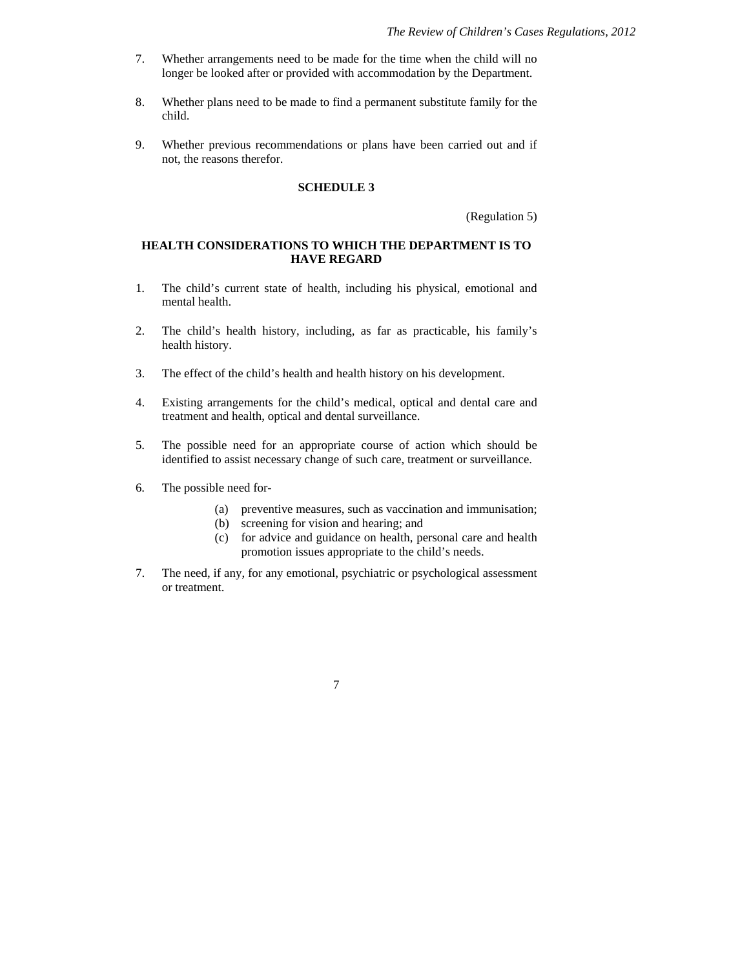- 7. Whether arrangements need to be made for the time when the child will no longer be looked after or provided with accommodation by the Department.
- 8. Whether plans need to be made to find a permanent substitute family for the child.
- 9. Whether previous recommendations or plans have been carried out and if not, the reasons therefor.

### **SCHEDULE 3**

(Regulation 5)

### **HEALTH CONSIDERATIONS TO WHICH THE DEPARTMENT IS TO HAVE REGARD**

- 1. The child's current state of health, including his physical, emotional and mental health.
- 2. The child's health history, including, as far as practicable, his family's health history.
- 3. The effect of the child's health and health history on his development.
- 4. Existing arrangements for the child's medical, optical and dental care and treatment and health, optical and dental surveillance.
- 5. The possible need for an appropriate course of action which should be identified to assist necessary change of such care, treatment or surveillance.
- 6. The possible need for-
	- (a) preventive measures, such as vaccination and immunisation;
	- (b) screening for vision and hearing; and
	- (c) for advice and guidance on health, personal care and health promotion issues appropriate to the child's needs.
- 7. The need, if any, for any emotional, psychiatric or psychological assessment or treatment.
	- 7